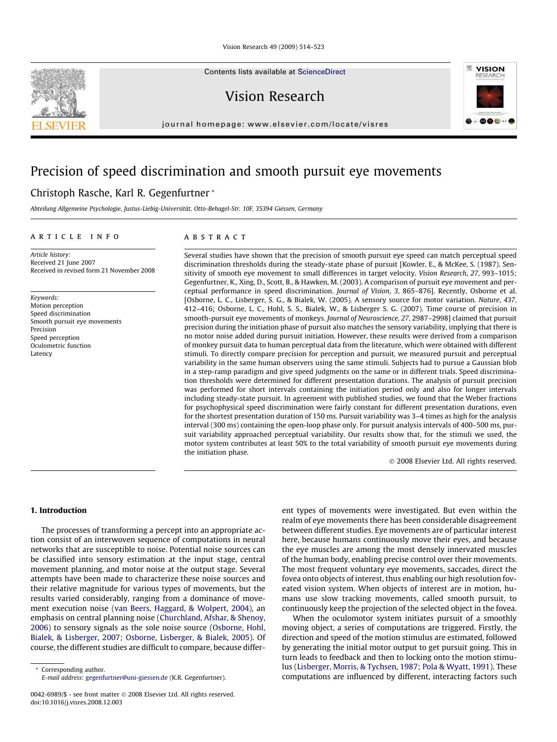Contents lists available at [ScienceDirect](http://www.sciencedirect.com/science/journal/00426989)

Vision Research

journal homepage: [www.elsevier.com/locate/visres](http://www.elsevier.com/locate/visres)

# Precision of speed discrimination and smooth pursuit eye movements

# Christoph Rasche, Karl R. Gegenfurtner \*

Abteilung Allgemeine Psychologie, Justus-Liebig-Universität, Otto-Behagel-Str. 10F, 35394 Giessen, Germany

# article info

Article history: Received 21 June 2007 Received in revised form 21 November 2008

Keywords: Motion perception Speed discrimination Smooth pursuit eye movements Precision Speed perception Oculometric function Latency

# ABSTRACT

Several studies have shown that the precision of smooth pursuit eye speed can match perceptual speed discrimination thresholds during the steady-state phase of pursuit [Kowler, E., & McKee, S. (1987). Sensitivity of smooth eye movement to small differences in target velocity. Vision Research, 27, 993–1015; Gegenfurtner, K., Xing, D., Scott, B., & Hawken, M. (2003). A comparison of pursuit eye movement and perceptual performance in speed discrimination. Journal of Vision, 3, 865–876]. Recently, Osborne et al. [Osborne, L. C., Lisberger, S. G., & Bialek, W. (2005). A sensory source for motor variation. Nature, 437, 412–416; Osborne, L. C., Hohl, S. S., Bialek, W., & Lisberger S. G. (2007). Time course of precision in smooth-pursuit eye movements of monkeys. Journal of Neuroscience, 27, 2987–2998] claimed that pursuit precision during the initiation phase of pursuit also matches the sensory variability, implying that there is no motor noise added during pursuit initiation. However, these results were derived from a comparison of monkey pursuit data to human perceptual data from the literature, which were obtained with different stimuli. To directly compare precision for perception and pursuit, we measured pursuit and perceptual variability in the same human observers using the same stimuli. Subjects had to pursue a Gaussian blob in a step-ramp paradigm and give speed judgments on the same or in different trials. Speed discrimination thresholds were determined for different presentation durations. The analysis of pursuit precision was performed for short intervals containing the initiation period only and also for longer intervals including steady-state pursuit. In agreement with published studies, we found that the Weber fractions for psychophysical speed discrimination were fairly constant for different presentation durations, even for the shortest presentation duration of 150 ms. Pursuit variability was 3–4 times as high for the analysis interval (300 ms) containing the open-loop phase only. For pursuit analysis intervals of 400–500 ms, pursuit variability approached perceptual variability. Our results show that, for the stimuli we used, the motor system contributes at least 50% to the total variability of smooth pursuit eye movements during the initiation phase.

- 2008 Elsevier Ltd. All rights reserved.

# 1. Introduction

The processes of transforming a percept into an appropriate action consist of an interwoven sequence of computations in neural networks that are susceptible to noise. Potential noise sources can be classified into sensory estimation at the input stage, central movement planning, and motor noise at the output stage. Several attempts have been made to characterize these noise sources and their relative magnitude for various types of movements, but the results varied considerably, ranging from a dominance of movement execution noise ([van Beers, Haggard, & Wolpert, 2004](#page-9-0)), an emphasis on central planning noise ([Churchland, Afshar, & Shenoy,](#page-8-0) [2006\)](#page-8-0) to sensory signals as the sole noise source [\(Osborne, Hohl,](#page-8-0) [Bialek, & Lisberger, 2007; Osborne, Lisberger, & Bialek, 2005\)](#page-8-0). Of course, the different studies are difficult to compare, because differ-

\* Corresponding author. E-mail address: [gegenfurtner@uni-giessen.de](mailto:gegenfurtner@uni-giessen.de) (K.R. Gegenfurtner). ent types of movements were investigated. But even within the realm of eye movements there has been considerable disagreement between different studies. Eye movements are of particular interest here, because humans continuously move their eyes, and because the eye muscles are among the most densely innervated muscles of the human body, enabling precise control over their movements. The most frequent voluntary eye movements, saccades, direct the fovea onto objects of interest, thus enabling our high resolution foveated vision system. When objects of interest are in motion, humans use slow tracking movements, called smooth pursuit, to continuously keep the projection of the selected object in the fovea.

When the oculomotor system initiates pursuit of a smoothly moving object, a series of computations are triggered. Firstly, the direction and speed of the motion stimulus are estimated, followed by generating the initial motor output to get pursuit going. This in turn leads to feedback and then to locking onto the motion stimulus ([Lisberger, Morris, & Tychsen, 1987; Pola & Wyatt, 1991](#page-8-0)). These computations are influenced by different, interacting factors such





<sup>0042-6989/\$ -</sup> see front matter © 2008 Elsevier Ltd. All rights reserved. doi:10.1016/j.visres.2008.12.003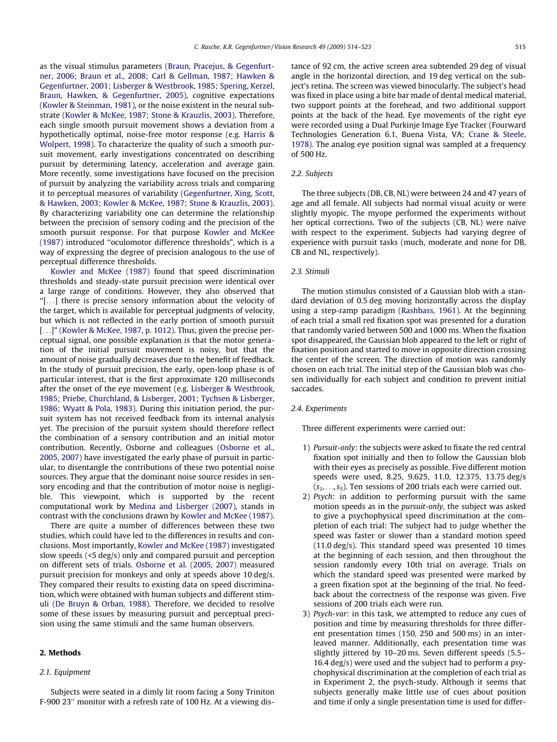as the visual stimulus parameters ([Braun, Pracejus, & Gegenfurt](#page-8-0)[ner, 2006; Braun et al., 2008; Carl & Gellman, 1987; Hawken &](#page-8-0) [Gegenfurtner, 2001; Lisberger & Westbrook, 1985; Spering, Kerzel,](#page-8-0) [Braun, Hawken, & Gegenfurtner, 2005](#page-8-0)), cognitive expectations ([Kowler & Steinman, 1981](#page-8-0)), or the noise existent in the neural substrate ([Kowler & McKee, 1987; Stone & Krauzlis, 2003\)](#page-8-0). Therefore, each single smooth pursuit movement shows a deviation from a hypothetically optimal, noise-free motor response (e.g. [Harris &](#page-8-0) [Wolpert, 1998](#page-8-0)). To characterize the quality of such a smooth pursuit movement, early investigations concentrated on describing pursuit by determining latency, acceleration and average gain. More recently, some investigations have focused on the precision of pursuit by analyzing the variability across trials and comparing it to perceptual measures of variability [\(Gegenfurtner, Xing, Scott,](#page-8-0) [& Hawken, 2003; Kowler & McKee, 1987; Stone & Krauzlis, 2003\)](#page-8-0). By characterizing variability one can determine the relationship between the precision of sensory coding and the precision of the smooth pursuit response. For that purpose [Kowler and McKee](#page-8-0) [\(1987\)](#page-8-0) introduced ''oculomotor difference thresholds", which is a way of expressing the degree of precision analogous to the use of perceptual difference thresholds.

[Kowler and McKee \(1987\)](#page-8-0) found that speed discrimination thresholds and steady-state pursuit precision were identical over a large range of conditions. However, they also observed that ''[...] there is precise sensory information about the velocity of the target, which is available for perceptual judgments of velocity, but which is not reflected in the early portion of smooth pursuit [...]" [\(Kowler & McKee, 1987, p. 1012](#page-8-0)). Thus, given the precise perceptual signal, one possible explanation is that the motor generation of the initial pursuit movement is noisy, but that the amount of noise gradually decreases due to the benefit of feedback. In the study of pursuit precision, the early, open-loop phase is of particular interest, that is the first approximate 120 milliseconds after the onset of the eye movement (e.g. [Lisberger & Westbrook,](#page-8-0) [1985; Priebe, Churchland, & Lisberger, 2001; Tychsen & Lisberger,](#page-8-0) [1986; Wyatt & Pola, 1983\)](#page-8-0). During this initiation period, the pursuit system has not received feedback from its internal analysis yet. The precision of the pursuit system should therefore reflect the combination of a sensory contribution and an initial motor contribution. Recently, Osborne and colleagues ([Osborne et al.,](#page-8-0) [2005, 2007\)](#page-8-0) have investigated the early phase of pursuit in particular, to disentangle the contributions of these two potential noise sources. They argue that the dominant noise source resides in sensory encoding and that the contribution of motor noise is negligible. This viewpoint, which is supported by the recent computational work by [Medina and Lisberger \(2007\),](#page-8-0) stands in contrast with the conclusions drawn by [Kowler and McKee \(1987\).](#page-8-0)

There are quite a number of differences between these two studies, which could have led to the differences in results and conclusions. Most importantly, [Kowler and McKee \(1987\)](#page-8-0) investigated slow speeds (<5 deg/s) only and compared pursuit and perception on different sets of trials. [Osborne et al. \(2005, 2007\)](#page-8-0) measured pursuit precision for monkeys and only at speeds above 10 deg/s. They compared their results to existing data on speed discrimination, which were obtained with human subjects and different stimuli [\(De Bruyn & Orban, 1988\)](#page-8-0). Therefore, we decided to resolve some of these issues by measuring pursuit and perceptual precision using the same stimuli and the same human observers.

## 2. Methods

## 2.1. Equipment

Subjects were seated in a dimly lit room facing a Sony Triniton F-900 23" monitor with a refresh rate of 100 Hz. At a viewing dis-

tance of 92 cm, the active screen area subtended 29 deg of visual angle in the horizontal direction, and 19 deg vertical on the subject's retina. The screen was viewed binocularly. The subject's head was fixed in place using a bite bar made of dental medical material, two support points at the forehead, and two additional support points at the back of the head. Eye movements of the right eye were recorded using a Dual Purkinje Image Eye Tracker (Fourward Technologies Generation 6.1, Buena Vista, VA; [Crane & Steele,](#page-8-0) [1978\)](#page-8-0). The analog eye position signal was sampled at a frequency of 500 Hz.

# 2.2. Subjects

The three subjects (DB, CB, NL) were between 24 and 47 years of age and all female. All subjects had normal visual acuity or were slightly myopic. The myope performed the experiments without her optical corrections. Two of the subjects (CB, NL) were naïve with respect to the experiment. Subjects had varying degree of experience with pursuit tasks (much, moderate and none for DB, CB and NL, respectively).

# 2.3. Stimuli

The motion stimulus consisted of a Gaussian blob with a standard deviation of 0.5 deg moving horizontally across the display using a step-ramp paradigm [\(Rashbass, 1961](#page-8-0)). At the beginning of each trial a small red fixation spot was presented for a duration that randomly varied between 500 and 1000 ms. When the fixation spot disappeared, the Gaussian blob appeared to the left or right of fixation position and started to move in opposite direction crossing the center of the screen. The direction of motion was randomly chosen on each trial. The initial step of the Gaussian blob was chosen individually for each subject and condition to prevent initial saccades.

# 2.4. Experiments

Three different experiments were carried out:

- 1) Pursuit-only: the subjects were asked to fixate the red central fixation spot initially and then to follow the Gaussian blob with their eyes as precisely as possible. Five different motion speeds were used, 8.25, 9.625, 11.0, 12.375, 13.75 deg/s  $(s_1, \ldots, s_5)$ . Ten sessions of 200 trials each were carried out.
- 2) Psych: in addition to performing pursuit with the same motion speeds as in the pursuit-only, the subject was asked to give a psychophysical speed discrimination at the completion of each trial: The subject had to judge whether the speed was faster or slower than a standard motion speed (11.0 deg/s). This standard speed was presented 10 times at the beginning of each session, and then throughout the session randomly every 10th trial on average. Trials on which the standard speed was presented were marked by a green fixation spot at the beginning of the trial. No feedback about the correctness of the response was given. Five sessions of 200 trials each were run.
- 3) Psych-var: in this task, we attempted to reduce any cues of position and time by measuring thresholds for three different presentation times (150, 250 and 500 ms) in an interleaved manner. Additionally, each presentation time was slightly jittered by 10–20 ms. Seven different speeds (5.5– 16.4 deg/s) were used and the subject had to perform a psychophysical discrimination at the completion of each trial as in Experiment 2, the psych-study. Although it seems that subjects generally make little use of cues about position and time if only a single presentation time is used for differ-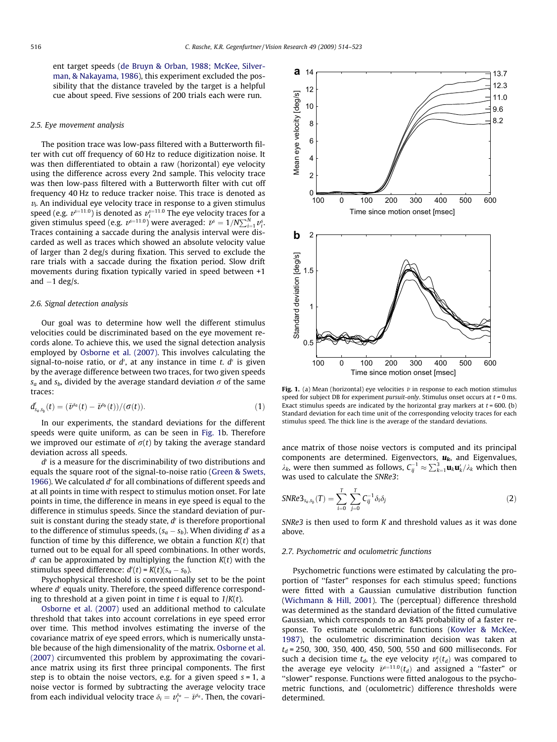<span id="page-2-0"></span>ent target speeds [\(de Bruyn & Orban, 1988; McKee, Silver](#page-8-0)[man, & Nakayama, 1986\)](#page-8-0), this experiment excluded the possibility that the distance traveled by the target is a helpful cue about speed. Five sessions of 200 trials each were run.

## 2.5. Eye movement analysis

The position trace was low-pass filtered with a Butterworth filter with cut off frequency of 60 Hz to reduce digitization noise. It was then differentiated to obtain a raw (horizontal) eye velocity using the difference across every 2nd sample. This velocity trace was then low-pass filtered with a Butterworth filter with cut off frequency 40 Hz to reduce tracker noise. This trace is denoted as  $v_i$ . An individual eye velocity trace in response to a given stimulus speed (e.g.  $v^{\mathfrak{s}=11.0}$ ) is denoted as  $v^{\mathfrak{s}=11.0}_{i}$  The eye velocity traces for a given stimulus speed (e.g.  $v^{s=11.0}$ ) were averaged:  $\bar{v}^s = 1/N\sum_{i=1}^{N} v_i^s$ . Traces containing a saccade during the analysis interval were discarded as well as traces which showed an absolute velocity value of larger than 2 deg/s during fixation. This served to exclude the rare trials with a saccade during the fixation period. Slow drift movements during fixation typically varied in speed between +1 and  $-1$  deg/s.

## 2.6. Signal detection analysis

Our goal was to determine how well the different stimulus velocities could be discriminated based on the eye movement records alone. To achieve this, we used the signal detection analysis employed by [Osborne et al. \(2007\)](#page-8-0). This involves calculating the signal-to-noise ratio, or d', at any instance in time t. d' is given by the average difference between two traces, for two given speeds  $s_a$  and  $s_b$ , divided by the average standard deviation  $\sigma$  of the same traces:

$$
d'_{s_a,s_b}(t) = (\bar{v}^{s_a}(t) - \bar{v}^{s_b}(t)) / (\sigma(t)). \qquad (1)
$$

In our experiments, the standard deviations for the different speeds were quite uniform, as can be seen in Fig. 1b. Therefore we improved our estimate of  $\sigma(t)$  by taking the average standard deviation across all speeds.

 $d'$  is a measure for the discriminability of two distributions and equals the square root of the signal-to-noise ratio [\(Green & Swets,](#page-8-0) [1966\)](#page-8-0). We calculated  $d'$  for all combinations of different speeds and at all points in time with respect to stimulus motion onset. For late points in time, the difference in means in eye speed is equal to the difference in stimulus speeds. Since the standard deviation of pursuit is constant during the steady state,  $d'$  is therefore proportional to the difference of stimulus speeds, ( $s_a - s_b$ ). When dividing  $d^\prime$  as a function of time by this difference, we obtain a function  $K(t)$  that turned out to be equal for all speed combinations. In other words,  $d'$  can be approximated by multiplying the function  $K(t)$  with the stimulus speed difference:  $d'(t)$  =  $K(t)(s_a - s_b)$ .

Psychophysical threshold is conventionally set to be the point where  $d'$  equals unity. Therefore, the speed difference corresponding to threshold at a given point in time t is equal to  $1/K(t)$ .

[Osborne et al. \(2007\)](#page-8-0) used an additional method to calculate threshold that takes into account correlations in eye speed error over time. This method involves estimating the inverse of the covariance matrix of eye speed errors, which is numerically unstable because of the high dimensionality of the matrix. [Osborne et al.](#page-8-0) [\(2007\)](#page-8-0) circumvented this problem by approximating the covariance matrix using its first three principal components. The first step is to obtain the noise vectors, e.g. for a given speed  $s = 1$ , a noise vector is formed by subtracting the average velocity trace from each individual velocity trace  $\delta_i = \nu_i^{\!s_a} - \bar{\nu}^{\!s_a}$ . Then, the covari-



Fig. 1. (a) Mean (horizontal) eye velocities  $\bar{v}$  in response to each motion stimulus speed for subject DB for experiment pursuit-only. Stimulus onset occurs at  $t = 0$  ms. Exact stimulus speeds are indicated by the horizontal gray markers at  $t = 600$ . (b) Standard deviation for each time unit of the corresponding velocity traces for each stimulus speed. The thick line is the average of the standard deviations.

ance matrix of those noise vectors is computed and its principal components are determined. Eigenvectors,  $\mathbf{u}_k$ , and Eigenvalues,  $\lambda_k$ , were then summed as follows,  $C_{ij}^{-1} \approx \sum_{k=1}^{3} \mathbf{u}_k \mathbf{u}'_k / \lambda_k$  which then was used to calculate the SNRe3:

$$
SNRe3_{s_a,s_b}(T) = \sum_{i=0}^{T} \sum_{j=0}^{T} C_{ij}^{-1} \delta_i \delta_j
$$
\n(2)

SNRe3 is then used to form K and threshold values as it was done above.

# 2.7. Psychometric and oculometric functions

Psychometric functions were estimated by calculating the proportion of ''faster" responses for each stimulus speed; functions were fitted with a Gaussian cumulative distribution function ([Wichmann & Hill, 2001](#page-9-0)). The (perceptual) difference threshold was determined as the standard deviation of the fitted cumulative Gaussian, which corresponds to an 84% probability of a faster response. To estimate oculometric functions [\(Kowler & McKee,](#page-8-0) [1987\)](#page-8-0), the oculometric discrimination decision was taken at  $t<sub>d</sub>$  = 250, 300, 350, 400, 450, 500, 550 and 600 milliseconds. For such a decision time  $t_d$ , the eye velocity  $v_i^s(t_d)$  was compared to the average eye velocity  $\bar{v}^{s=11.0}(t_d)$  and assigned a "faster" or "slower" response. Functions were fitted analogous to the psychometric functions, and (oculometric) difference thresholds were determined.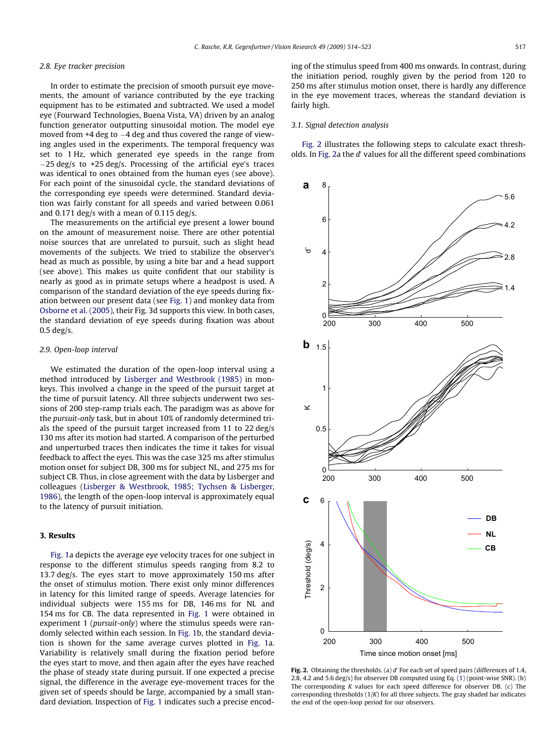#### <span id="page-3-0"></span>2.8. Eye tracker precision

In order to estimate the precision of smooth pursuit eye movements, the amount of variance contributed by the eye tracking equipment has to be estimated and subtracted. We used a model eye (Fourward Technologies, Buena Vista, VA) driven by an analog function generator outputting sinusoidal motion. The model eye moved from +4 deg to -4 deg and thus covered the range of viewing angles used in the experiments. The temporal frequency was set to 1 Hz, which generated eye speeds in the range from -25 deg/s to +25 deg/s. Processing of the artificial eye's traces was identical to ones obtained from the human eyes (see above). For each point of the sinusoidal cycle, the standard deviations of the corresponding eye speeds were determined. Standard deviation was fairly constant for all speeds and varied between 0.061 and 0.171 deg/s with a mean of 0.115 deg/s.

The measurements on the artificial eye present a lower bound on the amount of measurement noise. There are other potential noise sources that are unrelated to pursuit, such as slight head movements of the subjects. We tried to stabilize the observer's head as much as possible, by using a bite bar and a head support (see above). This makes us quite confident that our stability is nearly as good as in primate setups where a headpost is used. A comparison of the standard deviation of the eye speeds during fixation between our present data (see [Fig. 1\)](#page-2-0) and monkey data from [Osborne et al. \(2005\)](#page-8-0), their Fig. 3d supports this view. In both cases, the standard deviation of eye speeds during fixation was about 0.5 deg/s.

# 2.9. Open-loop interval

We estimated the duration of the open-loop interval using a method introduced by [Lisberger and Westbrook \(1985\)](#page-8-0) in monkeys. This involved a change in the speed of the pursuit target at the time of pursuit latency. All three subjects underwent two sessions of 200 step-ramp trials each. The paradigm was as above for the pursuit-only task, but in about 10% of randomly determined trials the speed of the pursuit target increased from 11 to 22 deg/s 130 ms after its motion had started. A comparison of the perturbed and unperturbed traces then indicates the time it takes for visual feedback to affect the eyes. This was the case 325 ms after stimulus motion onset for subject DB, 300 ms for subject NL, and 275 ms for subject CB. Thus, in close agreement with the data by Lisberger and colleagues [\(Lisberger & Westbrook, 1985; Tychsen & Lisberger,](#page-8-0) [1986\)](#page-8-0), the length of the open-loop interval is approximately equal to the latency of pursuit initiation.

# 3. Results

[Fig. 1](#page-2-0)a depicts the average eye velocity traces for one subject in response to the different stimulus speeds ranging from 8.2 to 13.7 deg/s. The eyes start to move approximately 150 ms after the onset of stimulus motion. There exist only minor differences in latency for this limited range of speeds. Average latencies for individual subjects were 155 ms for DB, 146 ms for NL and 154 ms for CB. The data represented in [Fig. 1](#page-2-0) were obtained in experiment 1 (pursuit-only) where the stimulus speeds were randomly selected within each session. In [Fig. 1b](#page-2-0), the standard deviation is shown for the same average curves plotted in [Fig. 1](#page-2-0)a. Variability is relatively small during the fixation period before the eyes start to move, and then again after the eyes have reached the phase of steady state during pursuit. If one expected a precise signal, the difference in the average eye-movement traces for the given set of speeds should be large, accompanied by a small standard deviation. Inspection of [Fig. 1](#page-2-0) indicates such a precise encoding of the stimulus speed from 400 ms onwards. In contrast, during the initiation period, roughly given by the period from 120 to 250 ms after stimulus motion onset, there is hardly any difference in the eye movement traces, whereas the standard deviation is fairly high.

# 3.1. Signal detection analysis

Fig. 2 illustrates the following steps to calculate exact thresholds. In Fig. 2a the d' values for all the different speed combinations



Fig. 2. Obtaining the thresholds. (a)  $d'$  For each set of speed pairs (differences of 1.4, 2.8, 4.2 and 5.6 deg/s) for observer DB computed using Eq. [\(1\)](#page-2-0) (point-wise SNR). (b) The corresponding K values for each speed difference for observer DB. (c) The corresponding thresholds  $(1/K)$  for all three subjects. The gray shaded bar indicates the end of the open-loop period for our observers.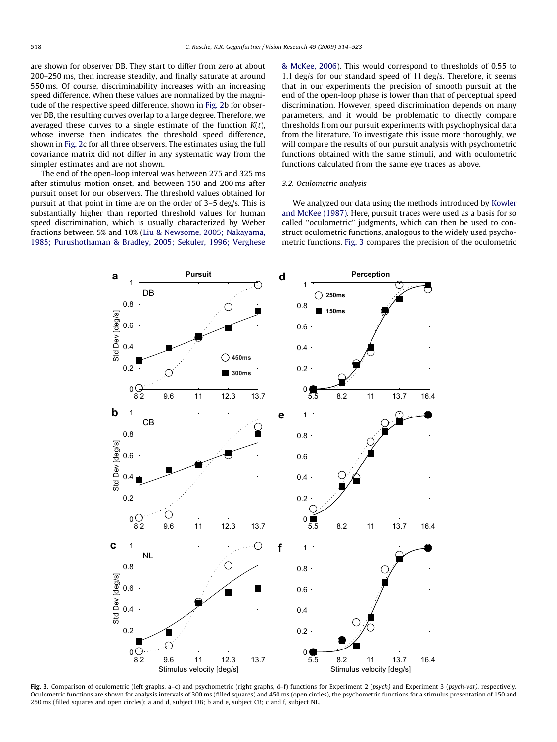are shown for observer DB. They start to differ from zero at about 200–250 ms, then increase steadily, and finally saturate at around 550 ms. Of course, discriminability increases with an increasing speed difference. When these values are normalized by the magnitude of the respective speed difference, shown in [Fig. 2b](#page-3-0) for observer DB, the resulting curves overlap to a large degree. Therefore, we averaged these curves to a single estimate of the function  $K(t)$ , whose inverse then indicates the threshold speed difference, shown in [Fig. 2c](#page-3-0) for all three observers. The estimates using the full covariance matrix did not differ in any systematic way from the simpler estimates and are not shown.

The end of the open-loop interval was between 275 and 325 ms after stimulus motion onset, and between 150 and 200 ms after pursuit onset for our observers. The threshold values obtained for pursuit at that point in time are on the order of 3–5 deg/s. This is substantially higher than reported threshold values for human speed discrimination, which is usually characterized by Weber fractions between 5% and 10% [\(Liu & Newsome, 2005; Nakayama,](#page-8-0) [1985; Purushothaman & Bradley, 2005; Sekuler, 1996; Verghese](#page-8-0)

[& McKee, 2006](#page-8-0)). This would correspond to thresholds of 0.55 to 1.1 deg/s for our standard speed of 11 deg/s. Therefore, it seems that in our experiments the precision of smooth pursuit at the end of the open-loop phase is lower than that of perceptual speed discrimination. However, speed discrimination depends on many parameters, and it would be problematic to directly compare thresholds from our pursuit experiments with psychophysical data from the literature. To investigate this issue more thoroughly, we will compare the results of our pursuit analysis with psychometric functions obtained with the same stimuli, and with oculometric functions calculated from the same eye traces as above.

# 3.2. Oculometric analysis

We analyzed our data using the methods introduced by [Kowler](#page-8-0) [and McKee \(1987\).](#page-8-0) Here, pursuit traces were used as a basis for so called ''oculometric" judgments, which can then be used to construct oculometric functions, analogous to the widely used psychometric functions. Fig. 3 compares the precision of the oculometric



Fig. 3. Comparison of oculometric (left graphs, a-c) and psychometric (right graphs, d-f) functions for Experiment 2 (psych) and Experiment 3 (psych-var), respectively. Oculometric functions are shown for analysis intervals of 300 ms (filled squares) and 450 ms (open circles), the psychometric functions for a stimulus presentation of 150 and 250 ms (filled squares and open circles): a and d, subject DB; b and e, subject CB; c and f, subject NL.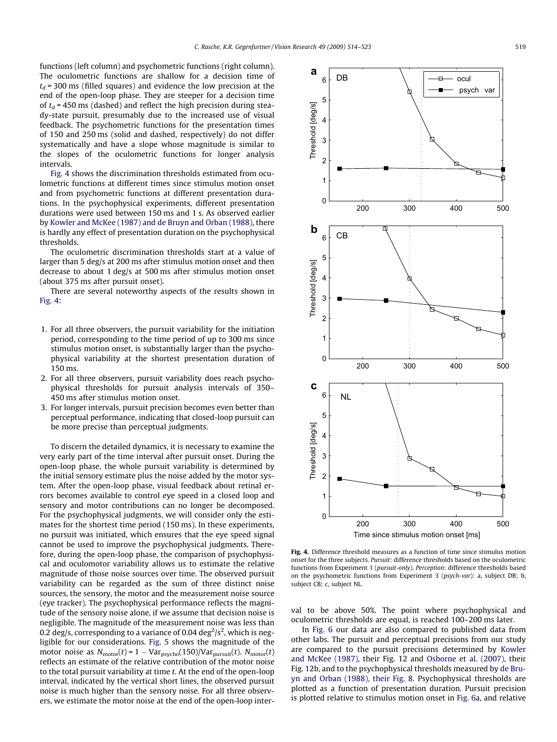<span id="page-5-0"></span>functions (left column) and psychometric functions (right column). The oculometric functions are shallow for a decision time of  $t_d$  = 300 ms (filled squares) and evidence the low precision at the end of the open-loop phase. They are steeper for a decision time of  $t_d$  = 450 ms (dashed) and reflect the high precision during steady-state pursuit, presumably due to the increased use of visual feedback. The psychometric functions for the presentation times of 150 and 250 ms (solid and dashed, respectively) do not differ systematically and have a slope whose magnitude is similar to the slopes of the oculometric functions for longer analysis intervals.

Fig. 4 shows the discrimination thresholds estimated from oculometric functions at different times since stimulus motion onset and from psychometric functions at different presentation durations. In the psychophysical experiments, different presentation durations were used between 150 ms and 1 s. As observed earlier by [Kowler and McKee \(1987\) and de Bruyn and Orban \(1988\)](#page-8-0), there is hardly any effect of presentation duration on the psychophysical thresholds.

The oculometric discrimination thresholds start at a value of larger than 5 deg/s at 200 ms after stimulus motion onset and then decrease to about 1 deg/s at 500 ms after stimulus motion onset (about 375 ms after pursuit onset).

There are several noteworthy aspects of the results shown in Fig. 4:

- 1. For all three observers, the pursuit variability for the initiation period, corresponding to the time period of up to 300 ms since stimulus motion onset, is substantially larger than the psychophysical variability at the shortest presentation duration of 150 ms.
- 2. For all three observers, pursuit variability does reach psychophysical thresholds for pursuit analysis intervals of 350– 450 ms after stimulus motion onset.
- 3. For longer intervals, pursuit precision becomes even better than perceptual performance, indicating that closed-loop pursuit can be more precise than perceptual judgments.

To discern the detailed dynamics, it is necessary to examine the very early part of the time interval after pursuit onset. During the open-loop phase, the whole pursuit variability is determined by the initial sensory estimate plus the noise added by the motor system. After the open-loop phase, visual feedback about retinal errors becomes available to control eye speed in a closed loop and sensory and motor contributions can no longer be decomposed. For the psychophysical judgments, we will consider only the estimates for the shortest time period (150 ms). In these experiments, no pursuit was initiated, which ensures that the eye speed signal cannot be used to improve the psychophysical judgments. Therefore, during the open-loop phase, the comparison of psychophysical and oculomotor variability allows us to estimate the relative magnitude of those noise sources over time. The observed pursuit variability can be regarded as the sum of three distinct noise sources, the sensory, the motor and the measurement noise source (eye tracker). The psychophysical performance reflects the magnitude of the sensory noise alone, if we assume that decision noise is negligible. The magnitude of the measurement noise was less than 0.2 deg/s, corresponding to a variance of 0.04 deg $^2$ /s $^2$ , which is negligible for our considerations. [Fig. 5](#page-6-0) shows the magnitude of the motor noise as  $N_{\rm motor}(t)$  = 1  $-$  Var $_{\rm psycho}(150)/{\rm Var}_{\rm pursuit}(t)$ .  $N_{\rm motor}(t)$ reflects an estimate of the relative contribution of the motor noise to the total pursuit variability at time t. At the end of the open-loop interval, indicated by the vertical short lines, the observed pursuit noise is much higher than the sensory noise. For all three observers, we estimate the motor noise at the end of the open-loop inter-



Fig. 4. Difference threshold measures as a function of time since stimulus motion onset for the three subjects. Pursuit: difference thresholds based on the oculometric functions from Experiment 1 (pursuit-only). Perception: difference thresholds based on the psychometric functions from Experiment 3 (psych-var): a, subject DB; b, subject CB; c, subject NL.

val to be above 50%. The point where psychophysical and oculometric thresholds are equal, is reached 100–200 ms later.

In [Fig. 6](#page-6-0) our data are also compared to published data from other labs. The pursuit and perceptual precisions from our study are compared to the pursuit precisions determined by [Kowler](#page-8-0) [and McKee \(1987\),](#page-8-0) their Fig. 12 and [Osborne et al. \(2007\)](#page-8-0), their Fig. 12b, and to the psychophysical thresholds measured by [de Bru](#page-8-0)[yn and Orban \(1988\), their Fig. 8.](#page-8-0) Psychophysical thresholds are plotted as a function of presentation duration. Pursuit precision is plotted relative to stimulus motion onset in [Fig. 6a](#page-6-0), and relative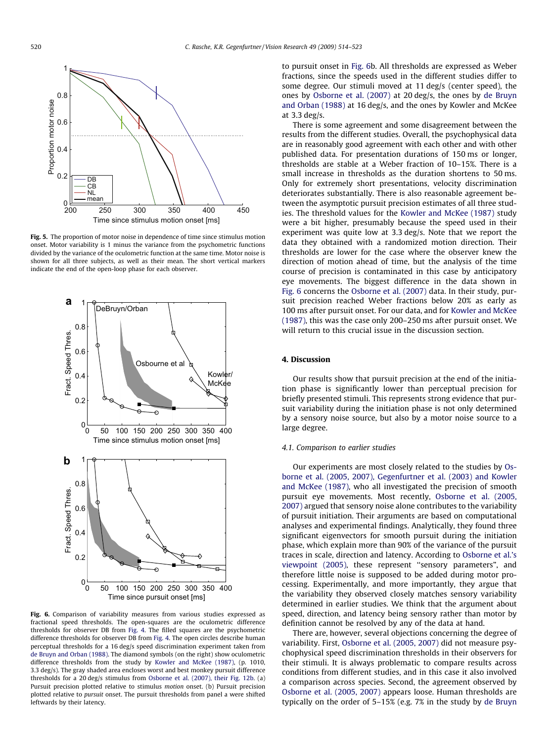<span id="page-6-0"></span>

Fig. 5. The proportion of motor noise in dependence of time since stimulus motion onset. Motor variability is 1 minus the variance from the psychometric functions divided by the variance of the oculometric function at the same time. Motor noise is shown for all three subjects, as well as their mean. The short vertical markers indicate the end of the open-loop phase for each observer.



Fig. 6. Comparison of variability measures from various studies expressed as fractional speed thresholds. The open-squares are the oculometric difference thresholds for observer DB from [Fig. 4.](#page-5-0) The filled squares are the psychometric difference thresholds for observer DB from [Fig. 4.](#page-5-0) The open circles describe human perceptual thresholds for a 16 deg/s speed discrimination experiment taken from [de Bruyn and Orban \(1988\)](#page-8-0). The diamond symbols (on the right) show oculometric difference thresholds from the study by [Kowler and McKee \(1987\)](#page-8-0), (p. 1010, 3.3 deg/s). The gray shaded area encloses worst and best monkey pursuit difference thresholds for a 20 deg/s stimulus from [Osborne et al. \(2007\), their Fig. 12b](#page-8-0). (a) Pursuit precision plotted relative to stimulus motion onset. (b) Pursuit precision plotted relative to pursuit onset. The pursuit thresholds from panel a were shifted leftwards by their latency.

to pursuit onset in Fig. 6b. All thresholds are expressed as Weber fractions, since the speeds used in the different studies differ to some degree. Our stimuli moved at 11 deg/s (center speed), the ones by [Osborne et al. \(2007\)](#page-8-0) at 20 deg/s, the ones by [de Bruyn](#page-8-0) [and Orban \(1988\)](#page-8-0) at 16 deg/s, and the ones by Kowler and McKee at 3.3 deg/s.

There is some agreement and some disagreement between the results from the different studies. Overall, the psychophysical data are in reasonably good agreement with each other and with other published data. For presentation durations of 150 ms or longer, thresholds are stable at a Weber fraction of 10–15%. There is a small increase in thresholds as the duration shortens to 50 ms. Only for extremely short presentations, velocity discrimination deteriorates substantially. There is also reasonable agreement between the asymptotic pursuit precision estimates of all three studies. The threshold values for the [Kowler and McKee \(1987\)](#page-8-0) study were a bit higher, presumably because the speed used in their experiment was quite low at 3.3 deg/s. Note that we report the data they obtained with a randomized motion direction. Their thresholds are lower for the case where the observer knew the direction of motion ahead of time, but the analysis of the time course of precision is contaminated in this case by anticipatory eye movements. The biggest difference in the data shown in Fig. 6 concerns the [Osborne et al. \(2007\)](#page-8-0) data. In their study, pursuit precision reached Weber fractions below 20% as early as 100 ms after pursuit onset. For our data, and for [Kowler and McKee](#page-8-0) [\(1987\),](#page-8-0) this was the case only 200–250 ms after pursuit onset. We will return to this crucial issue in the discussion section.

# 4. Discussion

Our results show that pursuit precision at the end of the initiation phase is significantly lower than perceptual precision for briefly presented stimuli. This represents strong evidence that pursuit variability during the initiation phase is not only determined by a sensory noise source, but also by a motor noise source to a large degree.

## 4.1. Comparison to earlier studies

Our experiments are most closely related to the studies by [Os](#page-8-0)[borne et al. \(2005, 2007\), Gegenfurtner et al. \(2003\) and Kowler](#page-8-0) [and McKee \(1987\),](#page-8-0) who all investigated the precision of smooth pursuit eye movements. Most recently, [Osborne et al. \(2005,](#page-8-0) [2007\)](#page-8-0) argued that sensory noise alone contributes to the variability of pursuit initiation. Their arguments are based on computational analyses and experimental findings. Analytically, they found three significant eigenvectors for smooth pursuit during the initiation phase, which explain more than 90% of the variance of the pursuit traces in scale, direction and latency. According to [Osborne et al.'s](#page-8-0) [viewpoint \(2005\)](#page-8-0), these represent ''sensory parameters", and therefore little noise is supposed to be added during motor processing. Experimentally, and more importantly, they argue that the variability they observed closely matches sensory variability determined in earlier studies. We think that the argument about speed, direction, and latency being sensory rather than motor by definition cannot be resolved by any of the data at hand.

There are, however, several objections concerning the degree of variability. First, [Osborne et al. \(2005, 2007\)](#page-8-0) did not measure psychophysical speed discrimination thresholds in their observers for their stimuli. It is always problematic to compare results across conditions from different studies, and in this case it also involved a comparison across species. Second, the agreement observed by [Osborne et al. \(2005, 2007\)](#page-8-0) appears loose. Human thresholds are typically on the order of 5–15% (e.g. 7% in the study by [de Bruyn](#page-8-0)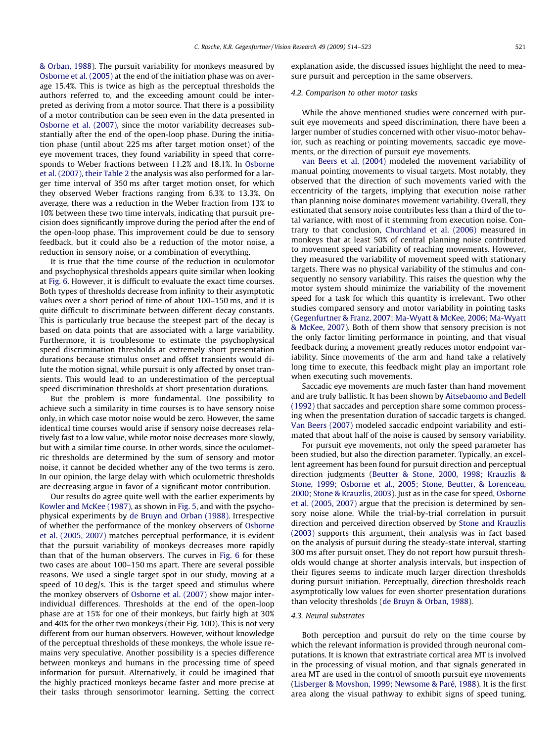[& Orban, 1988](#page-8-0)). The pursuit variability for monkeys measured by [Osborne et al. \(2005\)](#page-8-0) at the end of the initiation phase was on average 15.4%. This is twice as high as the perceptual thresholds the authors referred to, and the exceeding amount could be interpreted as deriving from a motor source. That there is a possibility of a motor contribution can be seen even in the data presented in [Osborne et al. \(2007\)](#page-8-0), since the motor variability decreases substantially after the end of the open-loop phase. During the initiation phase (until about 225 ms after target motion onset) of the eye movement traces, they found variability in speed that corresponds to Weber fractions between 11.2% and 18.1%. In [Osborne](#page-8-0) [et al. \(2007\), their Table 2](#page-8-0) the analysis was also performed for a larger time interval of 350 ms after target motion onset, for which they observed Weber fractions ranging from 6.3% to 13.3%. On average, there was a reduction in the Weber fraction from 13% to 10% between these two time intervals, indicating that pursuit precision does significantly improve during the period after the end of the open-loop phase. This improvement could be due to sensory feedback, but it could also be a reduction of the motor noise, a reduction in sensory noise, or a combination of everything.

It is true that the time course of the reduction in oculomotor and psychophysical thresholds appears quite similar when looking at [Fig. 6](#page-6-0). However, it is difficult to evaluate the exact time courses. Both types of thresholds decrease from infinity to their asymptotic values over a short period of time of about 100–150 ms, and it is quite difficult to discriminate between different decay constants. This is particularly true because the steepest part of the decay is based on data points that are associated with a large variability. Furthermore, it is troublesome to estimate the psychophysical speed discrimination thresholds at extremely short presentation durations because stimulus onset and offset transients would dilute the motion signal, while pursuit is only affected by onset transients. This would lead to an underestimation of the perceptual speed discrimination thresholds at short presentation durations.

But the problem is more fundamental. One possibility to achieve such a similarity in time courses is to have sensory noise only, in which case motor noise would be zero. However, the same identical time courses would arise if sensory noise decreases relatively fast to a low value, while motor noise decreases more slowly, but with a similar time course. In other words, since the oculometric thresholds are determined by the sum of sensory and motor noise, it cannot be decided whether any of the two terms is zero. In our opinion, the large delay with which oculometric thresholds are decreasing argue in favor of a significant motor contribution.

Our results do agree quite well with the earlier experiments by [Kowler and McKee \(1987\),](#page-8-0) as shown in [Fig. 5](#page-6-0), and with the psychophysical experiments by [de Bruyn and Orban \(1988\)](#page-8-0). Irrespective of whether the performance of the monkey observers of [Osborne](#page-8-0) [et al. \(2005, 2007\)](#page-8-0) matches perceptual performance, it is evident that the pursuit variability of monkeys decreases more rapidly than that of the human observers. The curves in [Fig. 6](#page-6-0) for these two cases are about 100–150 ms apart. There are several possible reasons. We used a single target spot in our study, moving at a speed of 10 deg/s. This is the target speed and stimulus where the monkey observers of [Osborne et al. \(2007\)](#page-8-0) show major interindividual differences. Thresholds at the end of the open-loop phase are at 15% for one of their monkeys, but fairly high at 30% and 40% for the other two monkeys (their Fig. 10D). This is not very different from our human observers. However, without knowledge of the perceptual thresholds of these monkeys, the whole issue remains very speculative. Another possibility is a species difference between monkeys and humans in the processing time of speed information for pursuit. Alternatively, it could be imagined that the highly practiced monkeys became faster and more precise at their tasks through sensorimotor learning. Setting the correct explanation aside, the discussed issues highlight the need to measure pursuit and perception in the same observers.

## 4.2. Comparison to other motor tasks

While the above mentioned studies were concerned with pursuit eye movements and speed discrimination, there have been a larger number of studies concerned with other visuo-motor behavior, such as reaching or pointing movements, saccadic eye movements, or the direction of pursuit eye movements.

[van Beers et al. \(2004\)](#page-9-0) modeled the movement variability of manual pointing movements to visual targets. Most notably, they observed that the direction of such movements varied with the eccentricity of the targets, implying that execution noise rather than planning noise dominates movement variability. Overall, they estimated that sensory noise contributes less than a third of the total variance, with most of it stemming from execution noise. Contrary to that conclusion, [Churchland et al. \(2006\)](#page-8-0) measured in monkeys that at least 50% of central planning noise contributed to movement speed variability of reaching movements. However, they measured the variability of movement speed with stationary targets. There was no physical variability of the stimulus and consequently no sensory variability. This raises the question why the motor system should minimize the variability of the movement speed for a task for which this quantity is irrelevant. Two other studies compared sensory and motor variability in pointing tasks ([Gegenfurtner & Franz, 2007; Ma-Wyatt & McKee, 2006; Ma-Wyatt](#page-8-0) [& McKee, 2007](#page-8-0)). Both of them show that sensory precision is not the only factor limiting performance in pointing, and that visual feedback during a movement greatly reduces motor endpoint variability. Since movements of the arm and hand take a relatively long time to execute, this feedback might play an important role when executing such movements.

Saccadic eye movements are much faster than hand movement and are truly ballistic. It has been shown by [Aitsebaomo and Bedell](#page-8-0) [\(1992\)](#page-8-0) that saccades and perception share some common processing when the presentation duration of saccadic targets is changed. [Van Beers \(2007\)](#page-9-0) modeled saccadic endpoint variability and estimated that about half of the noise is caused by sensory variability.

For pursuit eye movements, not only the speed parameter has been studied, but also the direction parameter. Typically, an excellent agreement has been found for pursuit direction and perceptual direction judgments [\(Beutter & Stone, 2000, 1998; Krauzlis &](#page-8-0) [Stone, 1999; Osborne et al., 2005; Stone, Beutter, & Lorenceau,](#page-8-0) [2000; Stone & Krauzlis, 2003\)](#page-8-0). Just as in the case for speed, [Osborne](#page-8-0) [et al. \(2005, 2007\)](#page-8-0) argue that the precision is determined by sensory noise alone. While the trial-by-trial correlation in pursuit direction and perceived direction observed by [Stone and Krauzlis](#page-9-0) [\(2003\)](#page-9-0) supports this argument, their analysis was in fact based on the analysis of pursuit during the steady-state interval, starting 300 ms after pursuit onset. They do not report how pursuit thresholds would change at shorter analysis intervals, but inspection of their figures seems to indicate much larger direction thresholds during pursuit initiation. Perceptually, direction thresholds reach asymptotically low values for even shorter presentation durations than velocity thresholds [\(de Bruyn & Orban, 1988](#page-8-0)).

## 4.3. Neural substrates

Both perception and pursuit do rely on the time course by which the relevant information is provided through neuronal computations. It is known that extrastriate cortical area MT is involved in the processing of visual motion, and that signals generated in area MT are used in the control of smooth pursuit eye movements ([Lisberger & Movshon, 1999; Newsome & Paré, 1988\)](#page-8-0). It is the first area along the visual pathway to exhibit signs of speed tuning,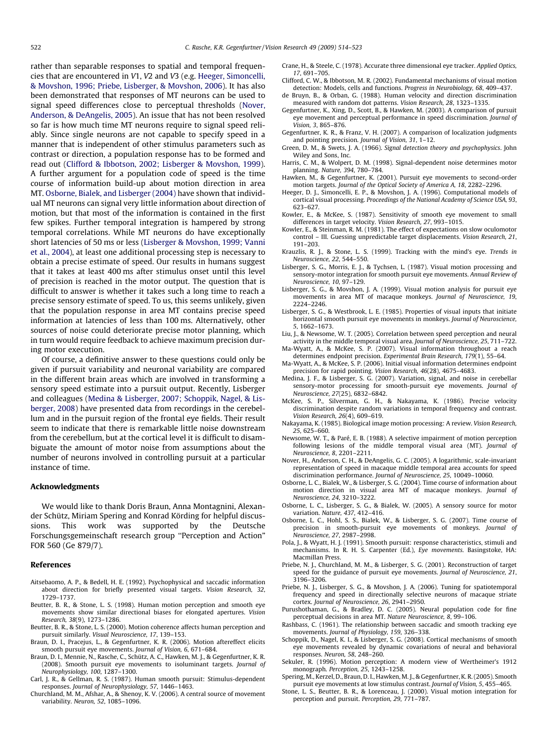<span id="page-8-0"></span>rather than separable responses to spatial and temporal frequencies that are encountered in V1, V2 and V3 (e.g. Heeger, Simoncelli, & Movshon, 1996; Priebe, Lisberger, & Movshon, 2006). It has also been demonstrated that responses of MT neurons can be used to signal speed differences close to perceptual thresholds (Nover, Anderson, & DeAngelis, 2005). An issue that has not been resolved so far is how much time MT neurons require to signal speed reliably. Since single neurons are not capable to specify speed in a manner that is independent of other stimulus parameters such as contrast or direction, a population response has to be formed and read out (Clifford & Ibbotson, 2002; Lisberger & Movshon, 1999). A further argument for a population code of speed is the time course of information build-up about motion direction in area MT. Osborne, Bialek, and Lisberger (2004) have shown that individual MT neurons can signal very little information about direction of motion, but that most of the information is contained in the first few spikes. Further temporal integration is hampered by strong temporal correlations. While MT neurons do have exceptionally short latencies of 50 ms or less (Lisberger & Movshon, 1999; Vanni et al., 2004), at least one additional processing step is necessary to obtain a precise estimate of speed. Our results in humans suggest that it takes at least 400 ms after stimulus onset until this level of precision is reached in the motor output. The question that is difficult to answer is whether it takes such a long time to reach a precise sensory estimate of speed. To us, this seems unlikely, given that the population response in area MT contains precise speed information at latencies of less than 100 ms. Alternatively, other sources of noise could deteriorate precise motor planning, which in turn would require feedback to achieve maximum precision during motor execution.

Of course, a definitive answer to these questions could only be given if pursuit variability and neuronal variability are compared in the different brain areas which are involved in transforming a sensory speed estimate into a pursuit output. Recently, Lisberger and colleagues (Medina & Lisberger, 2007; Schoppik, Nagel, & Lisberger, 2008) have presented data from recordings in the cerebellum and in the pursuit region of the frontal eye fields. Their result seem to indicate that there is remarkable little noise downstream from the cerebellum, but at the cortical level it is difficult to disambiguate the amount of motor noise from assumptions about the number of neurons involved in controlling pursuit at a particular instance of time.

## Acknowledgments

We would like to thank Doris Braun, Anna Montagnini, Alexander Schütz, Miriam Spering and Konrad Körding for helpful discussions. This work was supported by the Deutsche Forschungsgemeinschaft research group ''Perception and Action" FOR 560 (Ge 879/7).

#### References

- Aitsebaomo, A. P., & Bedell, H. E. (1992). Psychophysical and saccadic information about direction for briefly presented visual targets. Vision Research, 32, 1729–1737.
- Beutter, B. R., & Stone, L. S. (1998). Human motion perception and smooth eye movements show similar directional biases for elongated apertures. Vision Research, 38(9), 1273–1286.
- Beutter, B. R., & Stone, L. S. (2000). Motion coherence affects human perception and pursuit similarly. Visual Neuroscience, 17, 139–153.
- Braun, D. I., Pracejus, L., & Gegenfurtner, K. R. (2006). Motion aftereffect elicits smooth pursuit eye movements. Journal of Vision, 6, 671–684.
- Braun, D. I., Mennie, N., Rasche, C., Schütz, A. C., Hawken, M. J., & Gegenfurtner, K. R. (2008). Smooth pursuit eye movements to isoluminant targets. Journal of Neurophysiology, 100, 1287–1300.
- Carl, J. R., & Gellman, R. S. (1987). Human smooth pursuit: Stimulus-dependent responses. Journal of Neurophysiology, 57, 1446–1463.
- Churchland, M. M., Afshar, A., & Shenoy, K. V. (2006). A central source of movement variability. Neuron, 52, 1085–1096.
- Crane, H., & Steele, C. (1978). Accurate three dimensional eye tracker. Applied Optics, 17, 691–705.
- Clifford, C. W., & Ibbotson, M. R. (2002). Fundamental mechanisms of visual motion detection: Models, cells and functions. Progress in Neurobiology, 68, 409–437.
- de Bruyn, B., & Orban, G. (1988). Human velocity and direction discrimination measured with random dot patterns. Vision Research, 28, 1323–1335.
- Gegenfurtner, K., Xing, D., Scott, B., & Hawken, M. (2003). A comparison of pursuit eye movement and perceptual performance in speed discrimination. Journal of Vision, 3, 865–876.
- Gegenfurtner, K. R., & Franz, V. H. (2007). A comparison of localization judgments and pointing precision. Journal of Vision, 31, 1–12.
- Green, D. M., & Swets, J. A. (1966). Signal detection theory and psychophysics. John Wiley and Sons, Inc.
- Harris, C. M., & Wolpert, D. M. (1998). Signal-dependent noise determines motor planning. Nature, 394, 780–784.
- Hawken, M., & Gegenfurtner, K. (2001). Pursuit eye movements to second-order motion targets. Journal of the Optical Society of America A, 18, 2282–2296.
- Heeger, D. J., Simoncelli, E. P., & Movshon, J. A. (1996). Computational models of cortical visual processing. Proceedings of the National Academy of Science USA, 93, 623–627.
- Kowler, E., & McKee, S. (1987). Sensitivity of smooth eye movement to small differences in target velocity. Vision Research, 27, 993–1015.
- Kowler, E., & Steinman, R. M. (1981). The effect of expectations on slow oculomotor control – III. Guessing unpredictable target displacements. Vision Research, 21, 191–203.
- Krauzlis, R. J., & Stone, L. S. (1999). Tracking with the mind's eye. Trends in Neuroscience, 22, 544–550.
- Lisberger, S. G., Morris, E. J., & Tychsen, L. (1987). Visual motion processing and sensory-motor integration for smooth pursuit eye movements. Annual Review of Neuroscience, 10, 97–129.
- Lisberger, S. G., & Movshon, J. A. (1999). Visual motion analysis for pursuit eye movements in area MT of macaque monkeys. Journal of Neuroscience, 19, 2224–2246.
- Lisberger, S. G., & Westbrook, L. E. (1985). Properties of visual inputs that initiate horizontal smooth pursuit eye movements in monkeys. Journal of Neuroscience, 5, 1662–1673.
- Liu, J., & Newsome, W. T. (2005). Correlation between speed perception and neural activity in the middle temporal visual area. Journal of Neuroscience, 25, 711–722.
- Ma-Wyatt, A., & McKee, S. P. (2007). Visual information throughout a reach determines endpoint precision. Experimental Brain Research, 179(1), 55–64.
- Ma-Wyatt, A., & McKee, S. P. (2006). Initial visual information determines endpoint precision for rapid pointing. Vision Research, 46(28), 4675–4683.
- Medina, J. F., & Lisberger, S. G. (2007). Variation, signal, and noise in cerebellar sensory-motor processing for smooth-pursuit eye movements. Journal of Neuroscience, 27(25), 6832–6842.
- McKee, S. P., Silverman, G. H., & Nakayama, K. (1986). Precise velocity discrimination despite random variations in temporal frequency and contrast. Vision Research, 26(4), 609–619.
- Nakayama, K. (1985). Biological image motion processing: A review. Vision Research, 25, 625–660.
- Newsome, W. T., & Paré, E. B. (1988). A selective impairment of motion perception following lesions of the middle temporal visual area (MT). Journal of Neuroscience, 8, 2201–2211.
- Nover, H., Anderson, C. H., & DeAngelis, G. C. (2005). A logarithmic, scale-invariant representation of speed in macaque middle temporal area accounts for speed discrimination performance. Journal of Neuroscience, 25, 10049–10060.
- Osborne, L. C., Bialek, W., & Lisberger, S. G. (2004). Time course of information about motion direction in visual area MT of macaque monkeys. Journal of Neuroscience, 24, 3210–3222.
- Osborne, L. C., Lisberger, S. G., & Bialek, W. (2005). A sensory source for motor variation. Nature, 437, 412–416.
- Osborne, L. C., Hohl, S. S., Bialek, W., & Lisberger, S. G. (2007). Time course of precision in smooth-pursuit eye movements of monkeys. Journal of Neuroscience, 27, 2987–2998.
- Pola, J., & Wyatt, H. J. (1991). Smooth pursuit: response characteristics, stimuli and mechanisms. In R. H. S. Carpenter (Ed.), Eye movements. Basingstoke, HA: Macmillan Press.
- Priebe, N. J., Churchland, M. M., & Lisberger, S. G. (2001). Reconstruction of target speed for the guidance of pursuit eye movements. Journal of Neuroscience, 21, 3196–3206.
- Priebe, N. J., Lisberger, S. G., & Movshon, J. A. (2006). Tuning for spatiotemporal frequency and speed in directionally selective neurons of macaque striate cortex. Journal of Neuroscience, 26, 2941–2950.
- Purushothaman, G., & Bradley, D. C. (2005). Neural population code for fine perceptual decisions in area MT. Nature Neuroscience, 8, 99–106.
- Rashbass, C. (1961). The relationship between saccadic and smooth tracking eye movements. Journal of Physiology, 159, 326–338.
- Schoppik, D., Nagel, K. I., & Lisberger, S. G. (2008). Cortical mechanisms of smooth eye movements revealed by dynamic covariations of neural and behavioral responses. Neuron, 58, 248–260.
- Sekuler, R. (1996). Motion perception: A modern view of Wertheimer's 1912 monograph. Perception, 25, 1243–1258.
- Spering, M., Kerzel, D., Braun, D. I., Hawken, M. J., & Gegenfurtner, K. R. (2005). Smooth pursuit eye movements at low stimulus contrast. Journal of Vision, 5, 455–465.
- Stone, L. S., Beutter, B. R., & Lorenceau, J. (2000). Visual motion integration for perception and pursuit. Perception, 29, 771–787.